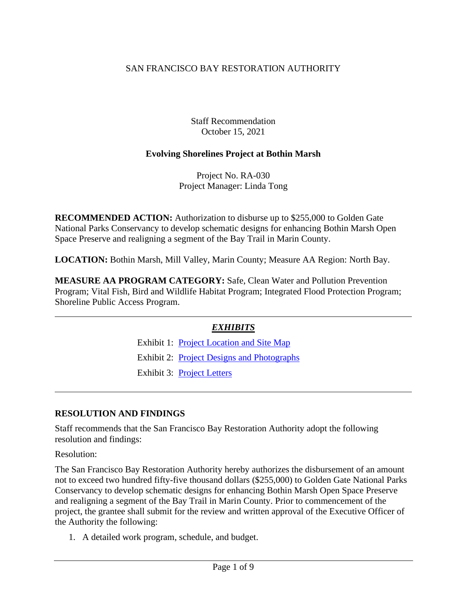# SAN FRANCISCO BAY RESTORATION AUTHORITY

Staff Recommendation October 15, 2021

### **Evolving Shorelines Project at Bothin Marsh**

Project No. RA-030 Project Manager: Linda Tong

**RECOMMENDED ACTION:** Authorization to disburse up to \$255,000 to Golden Gate National Parks Conservancy to develop schematic designs for enhancing Bothin Marsh Open Space Preserve and realigning a segment of the Bay Trail in Marin County.

**LOCATION:** Bothin Marsh, Mill Valley, Marin County; Measure AA Region: North Bay.

**MEASURE AA PROGRAM CATEGORY:** Safe, Clean Water and Pollution Prevention Program; Vital Fish, Bird and Wildlife Habitat Program; Integrated Flood Protection Program; Shoreline Public Access Program.

### *EXHIBITS*

Exhibit 1: [Project Location and Site Map](https://www.sfbayrestore.org/sites/default/files/2021-10/Item%2009_Bothin%20Marsh_Ex1.pdf) Exhibit 2: [Project Designs and Photographs](https://www.sfbayrestore.org/sites/default/files/2021-10/Item%2009_Bothin%20Marsh_Ex2.pdf) Exhibit 3: [Project Letters](https://www.sfbayrestore.org/sites/default/files/2021-10/Item%2009_Bothin%20Marsh_Ex3.pdf)

### **RESOLUTION AND FINDINGS**

Staff recommends that the San Francisco Bay Restoration Authority adopt the following resolution and findings:

Resolution:

The San Francisco Bay Restoration Authority hereby authorizes the disbursement of an amount not to exceed two hundred fifty-five thousand dollars (\$255,000) to Golden Gate National Parks Conservancy to develop schematic designs for enhancing Bothin Marsh Open Space Preserve and realigning a segment of the Bay Trail in Marin County. Prior to commencement of the project, the grantee shall submit for the review and written approval of the Executive Officer of the Authority the following:

1. A detailed work program, schedule, and budget.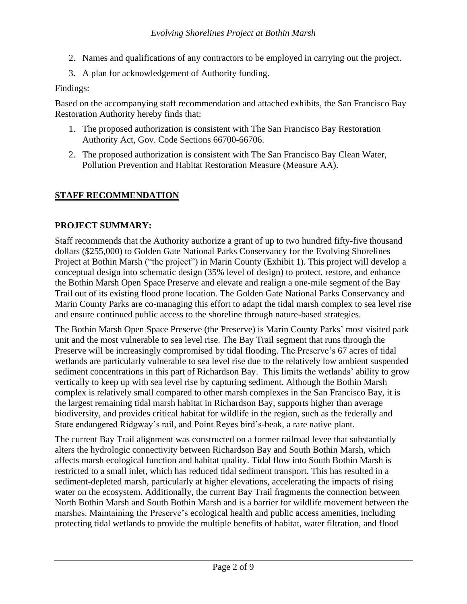- 2. Names and qualifications of any contractors to be employed in carrying out the project.
- 3. A plan for acknowledgement of Authority funding.

#### Findings:

Based on the accompanying staff recommendation and attached exhibits, the San Francisco Bay Restoration Authority hereby finds that:

- 1. The proposed authorization is consistent with The San Francisco Bay Restoration Authority Act, Gov. Code Sections 66700-66706.
- 2. The proposed authorization is consistent with The San Francisco Bay Clean Water, Pollution Prevention and Habitat Restoration Measure (Measure AA).

# **STAFF RECOMMENDATION**

#### **PROJECT SUMMARY:**

Staff recommends that the Authority authorize a grant of up to two hundred fifty-five thousand dollars (\$255,000) to Golden Gate National Parks Conservancy for the Evolving Shorelines Project at Bothin Marsh ("the project") in Marin County (Exhibit 1). This project will develop a conceptual design into schematic design (35% level of design) to protect, restore, and enhance the Bothin Marsh Open Space Preserve and elevate and realign a one-mile segment of the Bay Trail out of its existing flood prone location. The Golden Gate National Parks Conservancy and Marin County Parks are co-managing this effort to adapt the tidal marsh complex to sea level rise and ensure continued public access to the shoreline through nature-based strategies.

The Bothin Marsh Open Space Preserve (the Preserve) is Marin County Parks' most visited park unit and the most vulnerable to sea level rise. The Bay Trail segment that runs through the Preserve will be increasingly compromised by tidal flooding. The Preserve's 67 acres of tidal wetlands are particularly vulnerable to sea level rise due to the relatively low ambient suspended sediment concentrations in this part of Richardson Bay. This limits the wetlands' ability to grow vertically to keep up with sea level rise by capturing sediment. Although the Bothin Marsh complex is relatively small compared to other marsh complexes in the San Francisco Bay, it is the largest remaining tidal marsh habitat in Richardson Bay, supports higher than average biodiversity, and provides critical habitat for wildlife in the region, such as the federally and State endangered Ridgway's rail, and Point Reyes bird's-beak, a rare native plant.

The current Bay Trail alignment was constructed on a former railroad levee that substantially alters the hydrologic connectivity between Richardson Bay and South Bothin Marsh, which affects marsh ecological function and habitat quality. Tidal flow into South Bothin Marsh is restricted to a small inlet, which has reduced tidal sediment transport. This has resulted in a sediment-depleted marsh, particularly at higher elevations, accelerating the impacts of rising water on the ecosystem. Additionally, the current Bay Trail fragments the connection between North Bothin Marsh and South Bothin Marsh and is a barrier for wildlife movement between the marshes. Maintaining the Preserve's ecological health and public access amenities, including protecting tidal wetlands to provide the multiple benefits of habitat, water filtration, and flood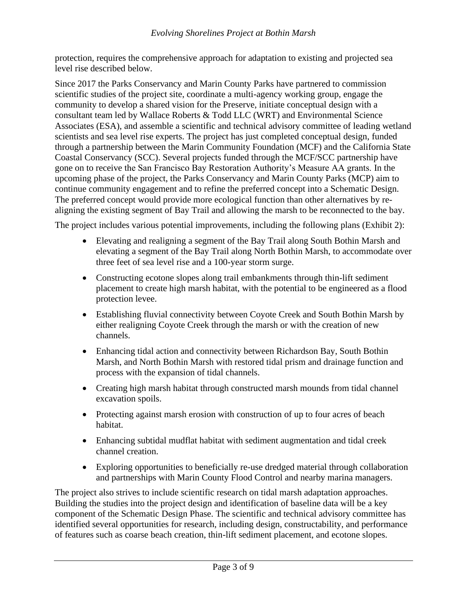protection, requires the comprehensive approach for adaptation to existing and projected sea level rise described below.

Since 2017 the Parks Conservancy and Marin County Parks have partnered to commission scientific studies of the project site, coordinate a multi-agency working group, engage the community to develop a shared vision for the Preserve, initiate conceptual design with a consultant team led by Wallace Roberts & Todd LLC (WRT) and Environmental Science Associates (ESA), and assemble a scientific and technical advisory committee of leading wetland scientists and sea level rise experts. The project has just completed conceptual design, funded through a partnership between the Marin Community Foundation (MCF) and the California State Coastal Conservancy (SCC). Several projects funded through the MCF/SCC partnership have gone on to receive the San Francisco Bay Restoration Authority's Measure AA grants. In the upcoming phase of the project, the Parks Conservancy and Marin County Parks (MCP) aim to continue community engagement and to refine the preferred concept into a Schematic Design. The preferred concept would provide more ecological function than other alternatives by realigning the existing segment of Bay Trail and allowing the marsh to be reconnected to the bay.

The project includes various potential improvements, including the following plans (Exhibit 2):

- Elevating and realigning a segment of the Bay Trail along South Bothin Marsh and elevating a segment of the Bay Trail along North Bothin Marsh, to accommodate over three feet of sea level rise and a 100-year storm surge.
- Constructing ecotone slopes along trail embankments through thin-lift sediment placement to create high marsh habitat, with the potential to be engineered as a flood protection levee.
- Establishing fluvial connectivity between Coyote Creek and South Bothin Marsh by either realigning Coyote Creek through the marsh or with the creation of new channels.
- Enhancing tidal action and connectivity between Richardson Bay, South Bothin Marsh, and North Bothin Marsh with restored tidal prism and drainage function and process with the expansion of tidal channels.
- Creating high marsh habitat through constructed marsh mounds from tidal channel excavation spoils.
- Protecting against marsh erosion with construction of up to four acres of beach habitat.
- Enhancing subtidal mudflat habitat with sediment augmentation and tidal creek channel creation.
- Exploring opportunities to beneficially re-use dredged material through collaboration and partnerships with Marin County Flood Control and nearby marina managers.

The project also strives to include scientific research on tidal marsh adaptation approaches. Building the studies into the project design and identification of baseline data will be a key component of the Schematic Design Phase. The scientific and technical advisory committee has identified several opportunities for research, including design, constructability, and performance of features such as coarse beach creation, thin-lift sediment placement, and ecotone slopes.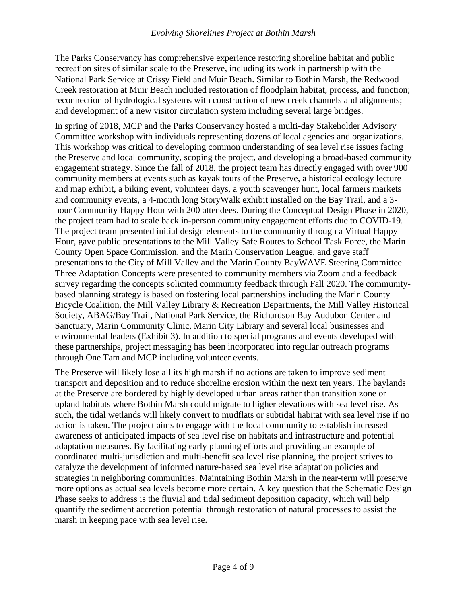The Parks Conservancy has comprehensive experience restoring shoreline habitat and public recreation sites of similar scale to the Preserve, including its work in partnership with the National Park Service at Crissy Field and Muir Beach. Similar to Bothin Marsh, the Redwood Creek restoration at Muir Beach included restoration of floodplain habitat, process, and function; reconnection of hydrological systems with construction of new creek channels and alignments; and development of a new visitor circulation system including several large bridges.

In spring of 2018, MCP and the Parks Conservancy hosted a multi-day Stakeholder Advisory Committee workshop with individuals representing dozens of local agencies and organizations. This workshop was critical to developing common understanding of sea level rise issues facing the Preserve and local community, scoping the project, and developing a broad-based community engagement strategy. Since the fall of 2018, the project team has directly engaged with over 900 community members at events such as kayak tours of the Preserve, a historical ecology lecture and map exhibit, a biking event, volunteer days, a youth scavenger hunt, local farmers markets and community events, a 4-month long StoryWalk exhibit installed on the Bay Trail, and a 3 hour Community Happy Hour with 200 attendees. During the Conceptual Design Phase in 2020, the project team had to scale back in-person community engagement efforts due to COVID-19. The project team presented initial design elements to the community through a Virtual Happy Hour, gave public presentations to the Mill Valley Safe Routes to School Task Force, the Marin County Open Space Commission, and the Marin Conservation League, and gave staff presentations to the City of Mill Valley and the Marin County BayWAVE Steering Committee. Three Adaptation Concepts were presented to community members via Zoom and a feedback survey regarding the concepts solicited community feedback through Fall 2020. The communitybased planning strategy is based on fostering local partnerships including the Marin County Bicycle Coalition, the Mill Valley Library & Recreation Departments, the Mill Valley Historical Society, ABAG/Bay Trail, National Park Service, the Richardson Bay Audubon Center and Sanctuary, Marin Community Clinic, Marin City Library and several local businesses and environmental leaders (Exhibit 3). In addition to special programs and events developed with these partnerships, project messaging has been incorporated into regular outreach programs through One Tam and MCP including volunteer events.

The Preserve will likely lose all its high marsh if no actions are taken to improve sediment transport and deposition and to reduce shoreline erosion within the next ten years. The baylands at the Preserve are bordered by highly developed urban areas rather than transition zone or upland habitats where Bothin Marsh could migrate to higher elevations with sea level rise. As such, the tidal wetlands will likely convert to mudflats or subtidal habitat with sea level rise if no action is taken. The project aims to engage with the local community to establish increased awareness of anticipated impacts of sea level rise on habitats and infrastructure and potential adaptation measures. By facilitating early planning efforts and providing an example of coordinated multi-jurisdiction and multi-benefit sea level rise planning, the project strives to catalyze the development of informed nature-based sea level rise adaptation policies and strategies in neighboring communities. Maintaining Bothin Marsh in the near-term will preserve more options as actual sea levels become more certain. A key question that the Schematic Design Phase seeks to address is the fluvial and tidal sediment deposition capacity, which will help quantify the sediment accretion potential through restoration of natural processes to assist the marsh in keeping pace with sea level rise.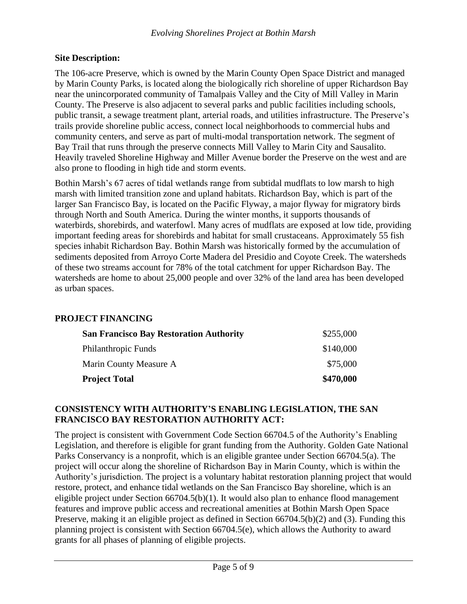### **Site Description:**

The 106-acre Preserve, which is owned by the Marin County Open Space District and managed by Marin County Parks, is located along the biologically rich shoreline of upper Richardson Bay near the unincorporated community of Tamalpais Valley and the City of Mill Valley in Marin County. The Preserve is also adjacent to several parks and public facilities including schools, public transit, a sewage treatment plant, arterial roads, and utilities infrastructure. The Preserve's trails provide shoreline public access, connect local neighborhoods to commercial hubs and community centers, and serve as part of multi-modal transportation network. The segment of Bay Trail that runs through the preserve connects Mill Valley to Marin City and Sausalito. Heavily traveled Shoreline Highway and Miller Avenue border the Preserve on the west and are also prone to flooding in high tide and storm events.

Bothin Marsh's 67 acres of tidal wetlands range from subtidal mudflats to low marsh to high marsh with limited transition zone and upland habitats. Richardson Bay, which is part of the larger San Francisco Bay, is located on the Pacific Flyway, a major flyway for migratory birds through North and South America. During the winter months, it supports thousands of waterbirds, shorebirds, and waterfowl. Many acres of mudflats are exposed at low tide, providing important feeding areas for shorebirds and habitat for small crustaceans. Approximately 55 fish species inhabit Richardson Bay. Bothin Marsh was historically formed by the accumulation of sediments deposited from Arroyo Corte Madera del Presidio and Coyote Creek. The watersheds of these two streams account for 78% of the total catchment for upper Richardson Bay. The watersheds are home to about 25,000 people and over 32% of the land area has been developed as urban spaces.

# **PROJECT FINANCING**

| <b>San Francisco Bay Restoration Authority</b> | \$255,000 |
|------------------------------------------------|-----------|
| Philanthropic Funds                            | \$140,000 |
| Marin County Measure A                         | \$75,000  |
| <b>Project Total</b>                           | \$470,000 |

### **CONSISTENCY WITH AUTHORITY'S ENABLING LEGISLATION, THE SAN FRANCISCO BAY RESTORATION AUTHORITY ACT:**

The project is consistent with Government Code Section 66704.5 of the Authority's Enabling Legislation, and therefore is eligible for grant funding from the Authority. Golden Gate National Parks Conservancy is a nonprofit, which is an eligible grantee under Section 66704.5(a). The project will occur along the shoreline of Richardson Bay in Marin County, which is within the Authority's jurisdiction. The project is a voluntary habitat restoration planning project that would restore, protect, and enhance tidal wetlands on the San Francisco Bay shoreline, which is an eligible project under Section  $66704.5(b)(1)$ . It would also plan to enhance flood management features and improve public access and recreational amenities at Bothin Marsh Open Space Preserve, making it an eligible project as defined in Section 66704.5(b)(2) and (3). Funding this planning project is consistent with Section 66704.5(e), which allows the Authority to award grants for all phases of planning of eligible projects.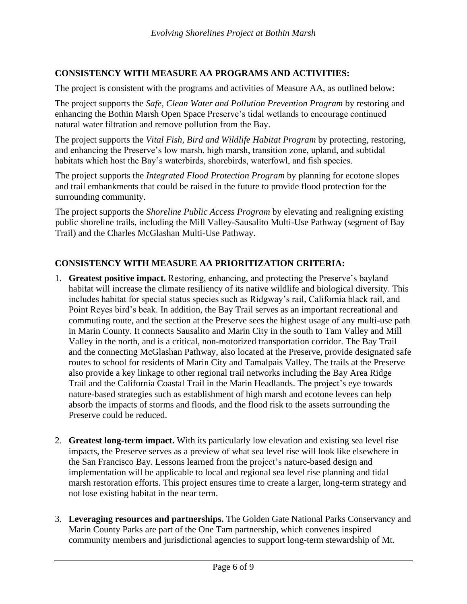# **CONSISTENCY WITH MEASURE AA PROGRAMS AND ACTIVITIES:**

The project is consistent with the programs and activities of Measure AA, as outlined below:

The project supports the *Safe, Clean Water and Pollution Prevention Program* by restoring and enhancing the Bothin Marsh Open Space Preserve's tidal wetlands to encourage continued natural water filtration and remove pollution from the Bay.

The project supports the *Vital Fish, Bird and Wildlife Habitat Program* by protecting, restoring, and enhancing the Preserve's low marsh, high marsh, transition zone, upland, and subtidal habitats which host the Bay's waterbirds, shorebirds, waterfowl, and fish species.

The project supports the *Integrated Flood Protection Program* by planning for ecotone slopes and trail embankments that could be raised in the future to provide flood protection for the surrounding community.

The project supports the *Shoreline Public Access Program* by elevating and realigning existing public shoreline trails, including the Mill Valley-Sausalito Multi-Use Pathway (segment of Bay Trail) and the Charles McGlashan Multi-Use Pathway.

# **CONSISTENCY WITH MEASURE AA PRIORITIZATION CRITERIA:**

- 1. **Greatest positive impact.** Restoring, enhancing, and protecting the Preserve's bayland habitat will increase the climate resiliency of its native wildlife and biological diversity. This includes habitat for special status species such as Ridgway's rail, California black rail, and Point Reyes bird's beak. In addition, the Bay Trail serves as an important recreational and commuting route, and the section at the Preserve sees the highest usage of any multi-use path in Marin County. It connects Sausalito and Marin City in the south to Tam Valley and Mill Valley in the north, and is a critical, non-motorized transportation corridor. The Bay Trail and the connecting McGlashan Pathway, also located at the Preserve, provide designated safe routes to school for residents of Marin City and Tamalpais Valley. The trails at the Preserve also provide a key linkage to other regional trail networks including the Bay Area Ridge Trail and the California Coastal Trail in the Marin Headlands. The project's eye towards nature-based strategies such as establishment of high marsh and ecotone levees can help absorb the impacts of storms and floods, and the flood risk to the assets surrounding the Preserve could be reduced.
- 2. **Greatest long-term impact.** With its particularly low elevation and existing sea level rise impacts, the Preserve serves as a preview of what sea level rise will look like elsewhere in the San Francisco Bay. Lessons learned from the project's nature-based design and implementation will be applicable to local and regional sea level rise planning and tidal marsh restoration efforts. This project ensures time to create a larger, long-term strategy and not lose existing habitat in the near term.
- 3. **Leveraging resources and partnerships.** The Golden Gate National Parks Conservancy and Marin County Parks are part of the One Tam partnership, which convenes inspired community members and jurisdictional agencies to support long-term stewardship of Mt.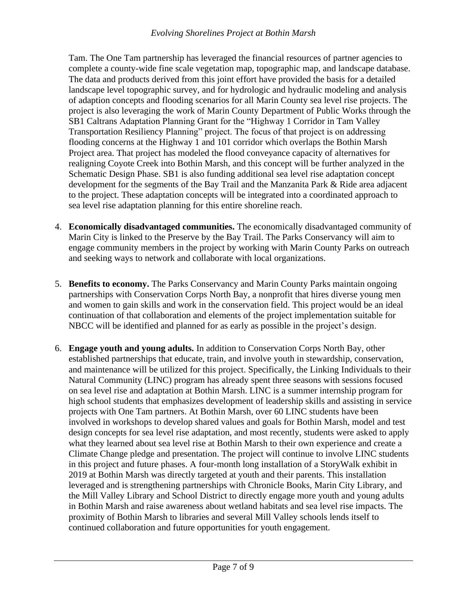#### *Evolving Shorelines Project at Bothin Marsh*

Tam. The One Tam partnership has leveraged the financial resources of partner agencies to complete a county-wide fine scale vegetation map, topographic map, and landscape database. The data and products derived from this joint effort have provided the basis for a detailed landscape level topographic survey, and for hydrologic and hydraulic modeling and analysis of adaption concepts and flooding scenarios for all Marin County sea level rise projects. The project is also leveraging the work of Marin County Department of Public Works through the SB1 Caltrans Adaptation Planning Grant for the "Highway 1 Corridor in Tam Valley Transportation Resiliency Planning" project. The focus of that project is on addressing flooding concerns at the Highway 1 and 101 corridor which overlaps the Bothin Marsh Project area. That project has modeled the flood conveyance capacity of alternatives for realigning Coyote Creek into Bothin Marsh, and this concept will be further analyzed in the Schematic Design Phase. SB1 is also funding additional sea level rise adaptation concept development for the segments of the Bay Trail and the Manzanita Park & Ride area adjacent to the project. These adaptation concepts will be integrated into a coordinated approach to sea level rise adaptation planning for this entire shoreline reach.

- 4. **Economically disadvantaged communities.** The economically disadvantaged community of Marin City is linked to the Preserve by the Bay Trail. The Parks Conservancy will aim to engage community members in the project by working with Marin County Parks on outreach and seeking ways to network and collaborate with local organizations.
- 5. **Benefits to economy.** The Parks Conservancy and Marin County Parks maintain ongoing partnerships with Conservation Corps North Bay, a nonprofit that hires diverse young men and women to gain skills and work in the conservation field. This project would be an ideal continuation of that collaboration and elements of the project implementation suitable for NBCC will be identified and planned for as early as possible in the project's design.
- 6. **Engage youth and young adults.** In addition to Conservation Corps North Bay, other established partnerships that educate, train, and involve youth in stewardship, conservation, and maintenance will be utilized for this project. Specifically, the Linking Individuals to their Natural Community (LINC) program has already spent three seasons with sessions focused on sea level rise and adaptation at Bothin Marsh. LINC is a summer internship program for high school students that emphasizes development of leadership skills and assisting in service projects with One Tam partners. At Bothin Marsh, over 60 LINC students have been involved in workshops to develop shared values and goals for Bothin Marsh, model and test design concepts for sea level rise adaptation, and most recently, students were asked to apply what they learned about sea level rise at Bothin Marsh to their own experience and create a Climate Change pledge and presentation. The project will continue to involve LINC students in this project and future phases. A four-month long installation of a StoryWalk exhibit in 2019 at Bothin Marsh was directly targeted at youth and their parents. This installation leveraged and is strengthening partnerships with Chronicle Books, Marin City Library, and the Mill Valley Library and School District to directly engage more youth and young adults in Bothin Marsh and raise awareness about wetland habitats and sea level rise impacts. The proximity of Bothin Marsh to libraries and several Mill Valley schools lends itself to continued collaboration and future opportunities for youth engagement.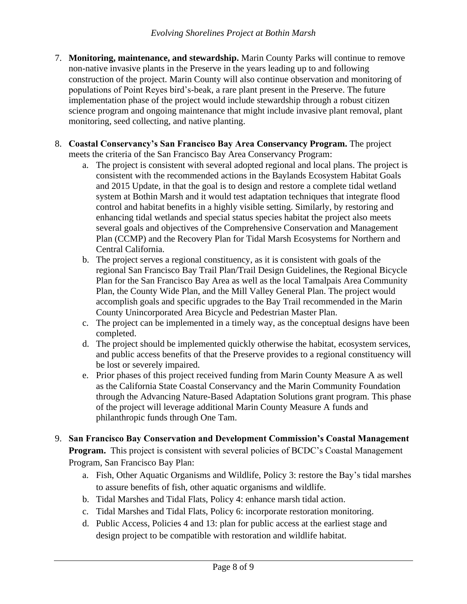- 7. **Monitoring, maintenance, and stewardship.** Marin County Parks will continue to remove non-native invasive plants in the Preserve in the years leading up to and following construction of the project. Marin County will also continue observation and monitoring of populations of Point Reyes bird's-beak, a rare plant present in the Preserve. The future implementation phase of the project would include stewardship through a robust citizen science program and ongoing maintenance that might include invasive plant removal, plant monitoring, seed collecting, and native planting.
- 8. **Coastal Conservancy's San Francisco Bay Area Conservancy Program.** The project meets the criteria of the San Francisco Bay Area Conservancy Program:
	- a. The project is consistent with several adopted regional and local plans. The project is consistent with the recommended actions in the Baylands Ecosystem Habitat Goals and 2015 Update, in that the goal is to design and restore a complete tidal wetland system at Bothin Marsh and it would test adaptation techniques that integrate flood control and habitat benefits in a highly visible setting. Similarly, by restoring and enhancing tidal wetlands and special status species habitat the project also meets several goals and objectives of the Comprehensive Conservation and Management Plan (CCMP) and the Recovery Plan for Tidal Marsh Ecosystems for Northern and Central California.
	- b. The project serves a regional constituency, as it is consistent with goals of the regional San Francisco Bay Trail Plan/Trail Design Guidelines, the Regional Bicycle Plan for the San Francisco Bay Area as well as the local Tamalpais Area Community Plan, the County Wide Plan, and the Mill Valley General Plan. The project would accomplish goals and specific upgrades to the Bay Trail recommended in the Marin County Unincorporated Area Bicycle and Pedestrian Master Plan.
	- c. The project can be implemented in a timely way, as the conceptual designs have been completed.
	- d. The project should be implemented quickly otherwise the habitat, ecosystem services, and public access benefits of that the Preserve provides to a regional constituency will be lost or severely impaired.
	- e. Prior phases of this project received funding from Marin County Measure A as well as the California State Coastal Conservancy and the Marin Community Foundation through the Advancing Nature-Based Adaptation Solutions grant program. This phase of the project will leverage additional Marin County Measure A funds and philanthropic funds through One Tam.
- 9. **San Francisco Bay Conservation and Development Commission's Coastal Management Program.** This project is consistent with several policies of BCDC's Coastal Management Program, San Francisco Bay Plan:
	- a. Fish, Other Aquatic Organisms and Wildlife, Policy 3: restore the Bay's tidal marshes to assure benefits of fish, other aquatic organisms and wildlife.
	- b. Tidal Marshes and Tidal Flats, Policy 4: enhance marsh tidal action.
	- c. Tidal Marshes and Tidal Flats, Policy 6: incorporate restoration monitoring.
	- d. Public Access, Policies 4 and 13: plan for public access at the earliest stage and design project to be compatible with restoration and wildlife habitat.